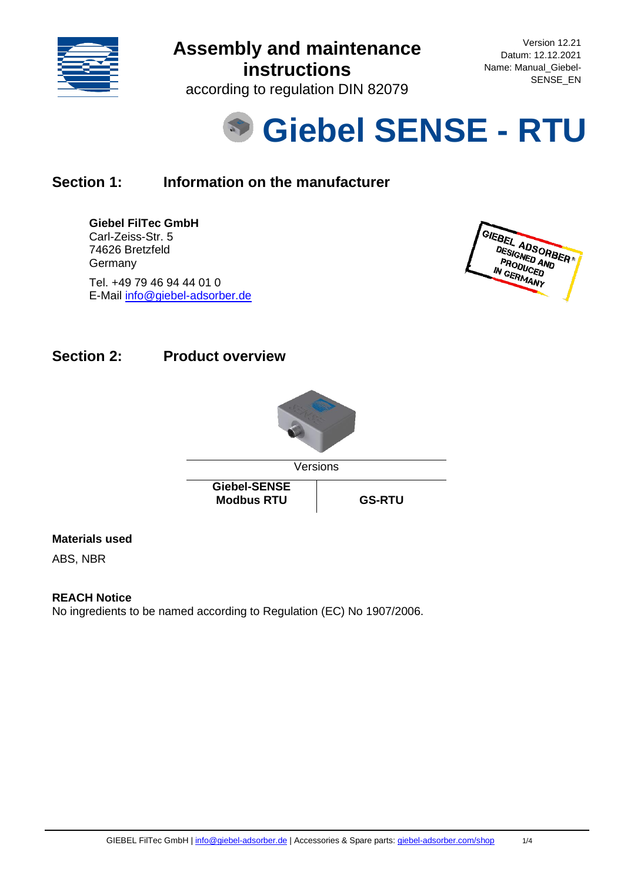

Version 12.21 Datum: 12.12.2021 Name: Manual\_Giebel-SENSE\_EN

according to regulation DIN 82079



### **Section 1: Information on the manufacturer**

#### **Giebel FilTec GmbH**

Carl-Zeiss-Str. 5 74626 Bretzfeld **Germany** Tel. +49 79 46 94 44 01 0 E-Mail [info@giebel-adsorber.de](mailto:info@giebel-adsorber.de)

GIEBEL ADSORBER DESIGNED AND **ESIGNED AN<br>PRODUCED<br>N GERMAN** PRODUCED<br>IN GERMANY

### **Section 2: Product overview**



### **Materials used**

ABS, NBR

#### **REACH Notice**

No ingredients to be named according to Regulation (EC) No 1907/2006.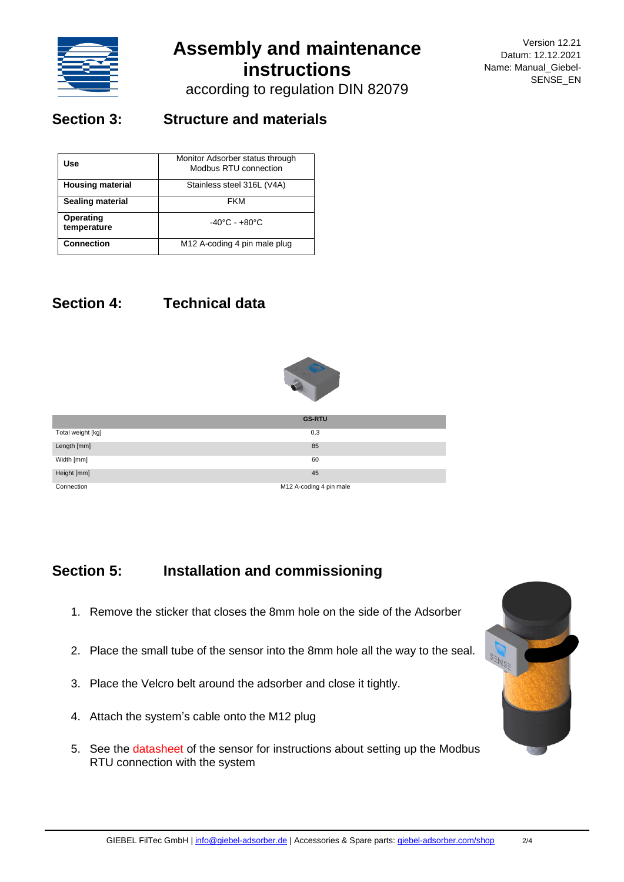

Version 12.21 Datum: 12.12.2021 Name: Manual\_Giebel-SENSE\_EN

according to regulation DIN 82079

### **Section 3: Structure and materials**

| Use                      | Monitor Adsorber status through<br>Modbus RTU connection |
|--------------------------|----------------------------------------------------------|
| <b>Housing material</b>  | Stainless steel 316L (V4A)                               |
| <b>Sealing material</b>  | FKM                                                      |
| Operating<br>temperature | $-40^{\circ}$ C - $+80^{\circ}$ C                        |
| <b>Connection</b>        | M12 A-coding 4 pin male plug                             |

## **Section 4: Technical data**



|                   | <b>GS-RTU</b>           |
|-------------------|-------------------------|
| Total weight [kg] | 0,3                     |
| Length [mm]       | 85                      |
| Width [mm]        | 60                      |
| Height [mm]       | 45                      |
| Connection        | M12 A-coding 4 pin male |

### **Section 5: Installation and commissioning**

- 1. Remove the sticker that closes the 8mm hole on the side of the Adsorber
- 2. Place the small tube of the sensor into the 8mm hole all the way to the seal.
- 3. Place the Velcro belt around the adsorber and close it tightly.
- 4. Attach the system's cable onto the M12 plug
- 5. See the datasheet of the sensor for instructions about setting up the Modbus RTU connection with the system

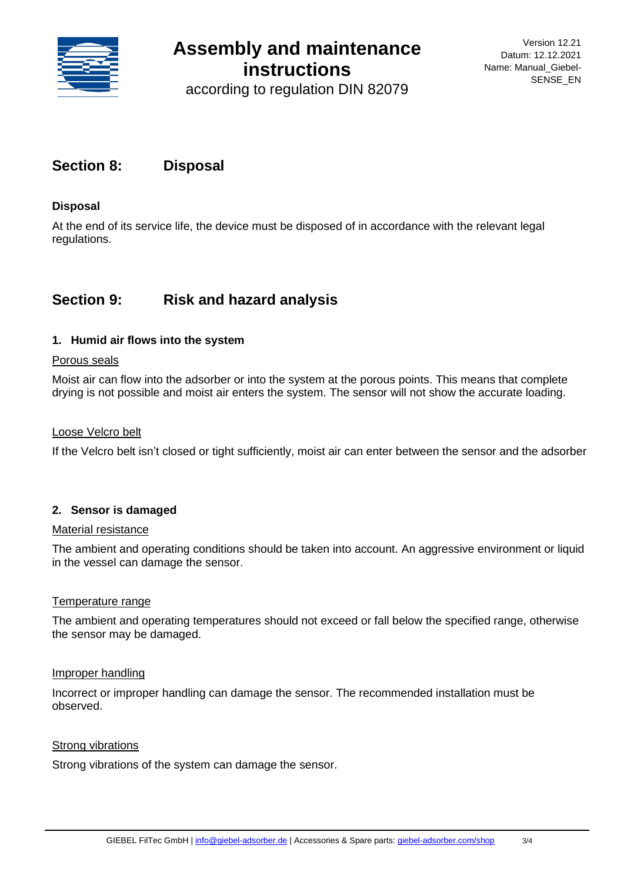

according to regulation DIN 82079

### **Section 8: Disposal**

#### **Disposal**

At the end of its service life, the device must be disposed of in accordance with the relevant legal regulations.

### **Section 9: Risk and hazard analysis**

#### **1. Humid air flows into the system**

#### Porous seals

Moist air can flow into the adsorber or into the system at the porous points. This means that complete drying is not possible and moist air enters the system. The sensor will not show the accurate loading.

#### Loose Velcro belt

If the Velcro belt isn't closed or tight sufficiently, moist air can enter between the sensor and the adsorber

#### **2. Sensor is damaged**

#### Material resistance

The ambient and operating conditions should be taken into account. An aggressive environment or liquid in the vessel can damage the sensor.

#### Temperature range

The ambient and operating temperatures should not exceed or fall below the specified range, otherwise the sensor may be damaged.

#### Improper handling

Incorrect or improper handling can damage the sensor. The recommended installation must be observed.

#### Strong vibrations

Strong vibrations of the system can damage the sensor.